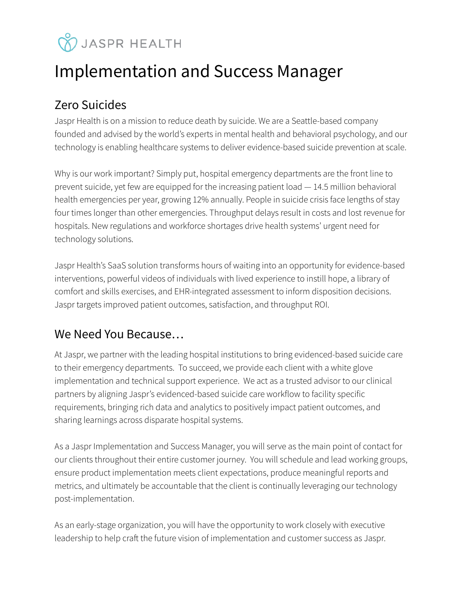# **V** JASPR HEALTH

## Implementation and Success Manager

### Zero Suicides

Jaspr Health is on a mission to reduce death by suicide. We are a Seattle-based company founded and advised by the world's experts in mental health and behavioral psychology, and our technology is enabling healthcare systems to deliver evidence-based suicide prevention at scale.

Why is our work important? Simply put, hospital emergency departments are the front line to prevent suicide, yet few are equipped for the increasing patient load — 14.5 million behavioral health emergencies per year, growing 12% annually. People in suicide crisis face lengths of stay four times longer than other emergencies. Throughput delays result in costs and lost revenue for hospitals. New regulations and workforce shortages drive health systems' urgent need for technology solutions.

Jaspr Health's SaaS solution transforms hours of waiting into an opportunity for evidence-based interventions, powerful videos of individuals with lived experience to instill hope, a library of comfort and skills exercises, and EHR-integrated assessment to inform disposition decisions. Jaspr targets improved patient outcomes, satisfaction, and throughput ROI.

#### We Need You Because…

At Jaspr, we partner with the leading hospital institutions to bring evidenced-based suicide care to their emergency departments. To succeed, we provide each client with a white glove implementation and technical support experience. We act as a trusted advisor to our clinical partners by aligning Jaspr's evidenced-based suicide care workflow to facility specific requirements, bringing rich data and analytics to positively impact patient outcomes, and sharing learnings across disparate hospital systems.

As a Jaspr Implementation and Success Manager, you will serve as the main point of contact for our clients throughout their entire customer journey. You will schedule and lead working groups, ensure product implementation meets client expectations, produce meaningful reports and metrics, and ultimately be accountable that the client is continually leveraging our technology post-implementation.

As an early-stage organization, you will have the opportunity to work closely with executive leadership to help craft the future vision of implementation and customer success as Jaspr.